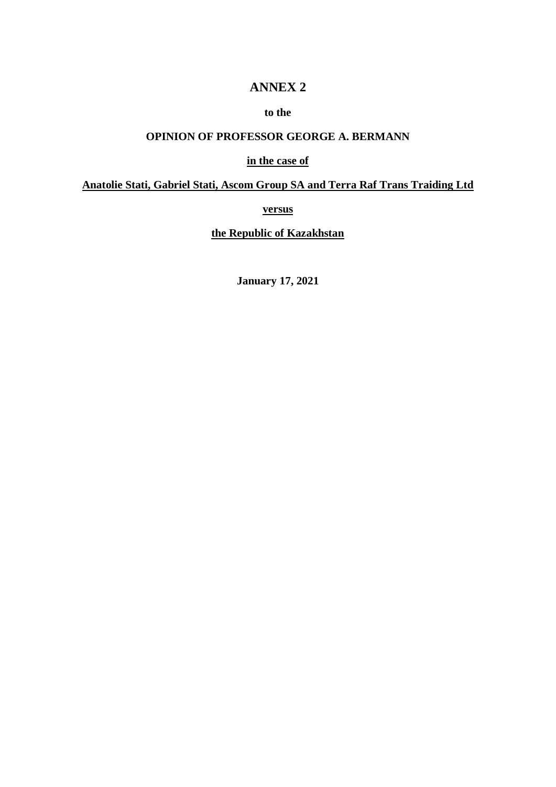## **ANNEX 2**

### **to the**

# **OPINION OF PROFESSOR GEORGE A. BERMANN**

#### **in the case of**

## **Anatolie Stati, Gabriel Stati, Ascom Group SA and Terra Raf Trans Traiding Ltd**

**versus**

**the Republic of Kazakhstan**

**January 17, 2021**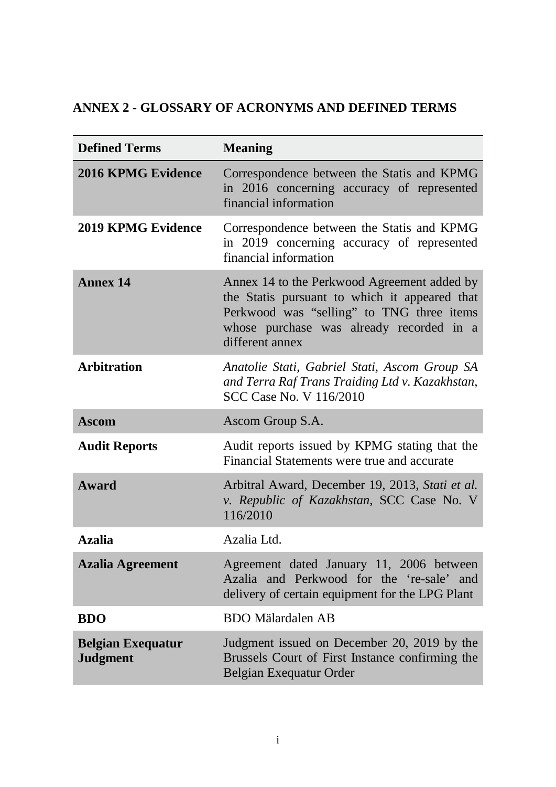# **ANNEX 2 - GLOSSARY OF ACRONYMS AND DEFINED TERMS**

| <b>Defined Terms</b>                        | <b>Meaning</b>                                                                                                                                                                                           |
|---------------------------------------------|----------------------------------------------------------------------------------------------------------------------------------------------------------------------------------------------------------|
| <b>2016 KPMG Evidence</b>                   | Correspondence between the Statis and KPMG<br>in 2016 concerning accuracy of represented<br>financial information                                                                                        |
| <b>2019 KPMG Evidence</b>                   | Correspondence between the Statis and KPMG<br>in 2019 concerning accuracy of represented<br>financial information                                                                                        |
| Annex 14                                    | Annex 14 to the Perkwood Agreement added by<br>the Statis pursuant to which it appeared that<br>Perkwood was "selling" to TNG three items<br>whose purchase was already recorded in a<br>different annex |
| <b>Arbitration</b>                          | Anatolie Stati, Gabriel Stati, Ascom Group SA<br>and Terra Raf Trans Traiding Ltd v. Kazakhstan,<br><b>SCC Case No. V 116/2010</b>                                                                       |
| <b>Ascom</b>                                | Ascom Group S.A.                                                                                                                                                                                         |
| <b>Audit Reports</b>                        | Audit reports issued by KPMG stating that the<br>Financial Statements were true and accurate                                                                                                             |
| Award                                       | Arbitral Award, December 19, 2013, Stati et al.<br>v. Republic of Kazakhstan, SCC Case No. V<br>116/2010                                                                                                 |
| <b>Azalia</b>                               | Azalia Ltd.                                                                                                                                                                                              |
| <b>Azalia Agreement</b>                     | Agreement dated January 11, 2006 between<br>Azalia and Perkwood for the 're-sale' and<br>delivery of certain equipment for the LPG Plant                                                                 |
| <b>BDO</b>                                  | <b>BDO</b> Mälardalen AB                                                                                                                                                                                 |
| <b>Belgian Exequatur</b><br><b>Judgment</b> | Judgment issued on December 20, 2019 by the<br>Brussels Court of First Instance confirming the<br>Belgian Exequatur Order                                                                                |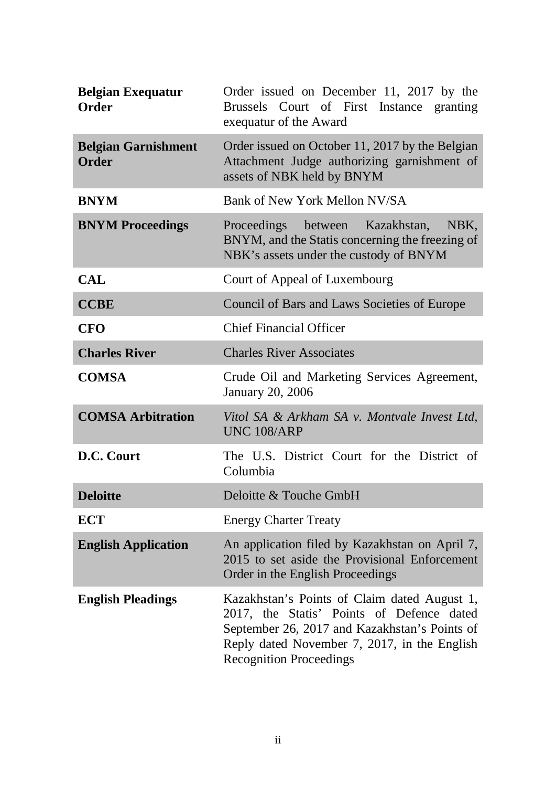| <b>Belgian Exequatur</b><br><b>Order</b>   | Order issued on December 11, 2017 by the<br>Brussels Court of First Instance granting<br>exequatur of the Award                                                                                                              |
|--------------------------------------------|------------------------------------------------------------------------------------------------------------------------------------------------------------------------------------------------------------------------------|
| <b>Belgian Garnishment</b><br><b>Order</b> | Order issued on October 11, 2017 by the Belgian<br>Attachment Judge authorizing garnishment of<br>assets of NBK held by BNYM                                                                                                 |
| <b>BNYM</b>                                | Bank of New York Mellon NV/SA                                                                                                                                                                                                |
| <b>BNYM Proceedings</b>                    | Proceedings between Kazakhstan,<br>NBK,<br>BNYM, and the Statis concerning the freezing of<br>NBK's assets under the custody of BNYM                                                                                         |
| <b>CAL</b>                                 | Court of Appeal of Luxembourg                                                                                                                                                                                                |
| <b>CCBE</b>                                | Council of Bars and Laws Societies of Europe                                                                                                                                                                                 |
| <b>CFO</b>                                 | <b>Chief Financial Officer</b>                                                                                                                                                                                               |
| <b>Charles River</b>                       | <b>Charles River Associates</b>                                                                                                                                                                                              |
| <b>COMSA</b>                               | Crude Oil and Marketing Services Agreement,<br><b>January 20, 2006</b>                                                                                                                                                       |
| <b>COMSA Arbitration</b>                   | Vitol SA & Arkham SA v. Montvale Invest Ltd,<br><b>UNC 108/ARP</b>                                                                                                                                                           |
| D.C. Court                                 | The U.S. District Court for the District of<br>Columbia                                                                                                                                                                      |
| <b>Deloitte</b>                            | Deloitte & Touche GmbH                                                                                                                                                                                                       |
| <b>ECT</b>                                 | <b>Energy Charter Treaty</b>                                                                                                                                                                                                 |
| <b>English Application</b>                 | An application filed by Kazakhstan on April 7,<br>2015 to set aside the Provisional Enforcement<br>Order in the English Proceedings                                                                                          |
| <b>English Pleadings</b>                   | Kazakhstan's Points of Claim dated August 1,<br>2017, the Statis' Points of Defence dated<br>September 26, 2017 and Kazakhstan's Points of<br>Reply dated November 7, 2017, in the English<br><b>Recognition Proceedings</b> |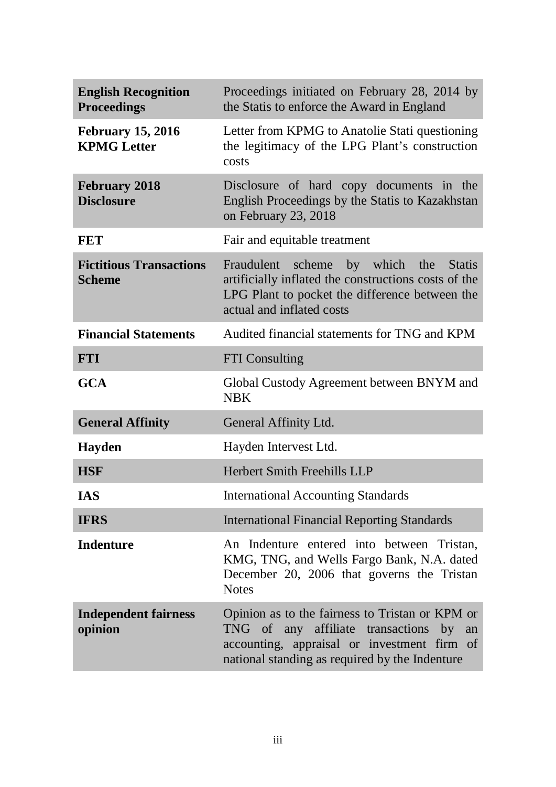| <b>English Recognition</b><br><b>Proceedings</b> | Proceedings initiated on February 28, 2014 by<br>the Statis to enforce the Award in England                                                                                                    |
|--------------------------------------------------|------------------------------------------------------------------------------------------------------------------------------------------------------------------------------------------------|
| <b>February 15, 2016</b><br><b>KPMG</b> Letter   | Letter from KPMG to Anatolie Stati questioning<br>the legitimacy of the LPG Plant's construction<br>costs                                                                                      |
| <b>February 2018</b><br><b>Disclosure</b>        | Disclosure of hard copy documents in the<br>English Proceedings by the Statis to Kazakhstan<br>on February 23, 2018                                                                            |
| <b>FET</b>                                       | Fair and equitable treatment                                                                                                                                                                   |
| <b>Fictitious Transactions</b><br><b>Scheme</b>  | Fraudulent scheme by which the Statis<br>artificially inflated the constructions costs of the<br>LPG Plant to pocket the difference between the<br>actual and inflated costs                   |
| <b>Financial Statements</b>                      | Audited financial statements for TNG and KPM                                                                                                                                                   |
| <b>FTI</b>                                       | <b>FTI</b> Consulting                                                                                                                                                                          |
| <b>GCA</b>                                       | Global Custody Agreement between BNYM and<br><b>NBK</b>                                                                                                                                        |
| <b>General Affinity</b>                          | General Affinity Ltd.                                                                                                                                                                          |
| <b>Hayden</b>                                    | Hayden Intervest Ltd.                                                                                                                                                                          |
| <b>HSF</b>                                       | Herbert Smith Freehills LLP                                                                                                                                                                    |
| <b>IAS</b>                                       | <b>International Accounting Standards</b>                                                                                                                                                      |
| <b>IFRS</b>                                      | <b>International Financial Reporting Standards</b>                                                                                                                                             |
| <b>Indenture</b>                                 | An Indenture entered into between Tristan,<br>KMG, TNG, and Wells Fargo Bank, N.A. dated<br>December 20, 2006 that governs the Tristan<br><b>Notes</b>                                         |
| <b>Independent fairness</b><br>opinion           | Opinion as to the fairness to Tristan or KPM or<br>TNG of any affiliate transactions by<br>an<br>accounting, appraisal or investment firm of<br>national standing as required by the Indenture |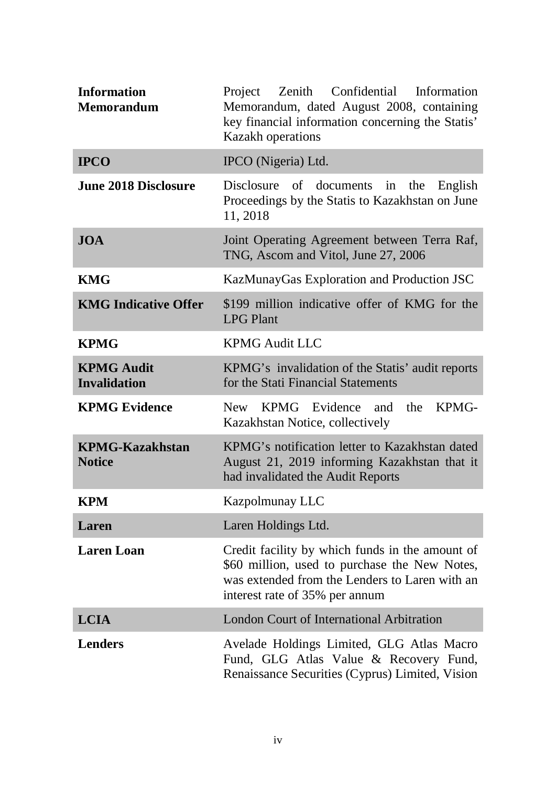| <b>Information</b><br><b>Memorandum</b>  | Project Zenith Confidential Information<br>Memorandum, dated August 2008, containing<br>key financial information concerning the Statis'<br><b>Kazakh operations</b>                 |
|------------------------------------------|--------------------------------------------------------------------------------------------------------------------------------------------------------------------------------------|
| <b>IPCO</b>                              | IPCO (Nigeria) Ltd.                                                                                                                                                                  |
| <b>June 2018 Disclosure</b>              | Disclosure of documents in the<br>English<br>Proceedings by the Statis to Kazakhstan on June<br>11, 2018                                                                             |
| <b>JOA</b>                               | Joint Operating Agreement between Terra Raf,<br>TNG, Ascom and Vitol, June 27, 2006                                                                                                  |
| <b>KMG</b>                               | KazMunayGas Exploration and Production JSC                                                                                                                                           |
| <b>KMG Indicative Offer</b>              | \$199 million indicative offer of KMG for the<br><b>LPG Plant</b>                                                                                                                    |
| <b>KPMG</b>                              | <b>KPMG Audit LLC</b>                                                                                                                                                                |
| <b>KPMG Audit</b><br><b>Invalidation</b> | KPMG's invalidation of the Statis' audit reports<br>for the Stati Financial Statements                                                                                               |
| <b>KPMG Evidence</b>                     | KPMG Evidence and<br>KPMG-<br>the<br>New \,<br>Kazakhstan Notice, collectively                                                                                                       |
| <b>KPMG-Kazakhstan</b><br><b>Notice</b>  | KPMG's notification letter to Kazakhstan dated<br>August 21, 2019 informing Kazakhstan that it<br>had invalidated the Audit Reports                                                  |
| <b>KPM</b>                               | Kazpolmunay LLC                                                                                                                                                                      |
| Laren                                    | Laren Holdings Ltd.                                                                                                                                                                  |
| <b>Laren</b> Loan                        | Credit facility by which funds in the amount of<br>\$60 million, used to purchase the New Notes,<br>was extended from the Lenders to Laren with an<br>interest rate of 35% per annum |
| <b>LCIA</b>                              | <b>London Court of International Arbitration</b>                                                                                                                                     |
| <b>Lenders</b>                           | Avelade Holdings Limited, GLG Atlas Macro<br>Fund, GLG Atlas Value & Recovery Fund,<br>Renaissance Securities (Cyprus) Limited, Vision                                               |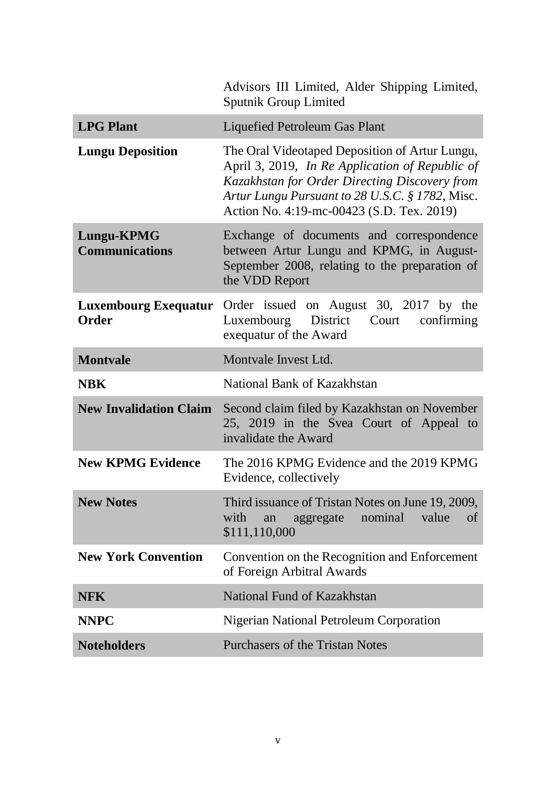|                                            | Advisors III Limited, Alder Shipping Limited,<br><b>Sputnik Group Limited</b>                                                                                                                                                                      |
|--------------------------------------------|----------------------------------------------------------------------------------------------------------------------------------------------------------------------------------------------------------------------------------------------------|
| <b>LPG Plant</b>                           | Liquefied Petroleum Gas Plant                                                                                                                                                                                                                      |
| <b>Lungu Deposition</b>                    | The Oral Videotaped Deposition of Artur Lungu,<br>April 3, 2019, In Re Application of Republic of<br>Kazakhstan for Order Directing Discovery from<br>Artur Lungu Pursuant to 28 U.S.C. § 1782, Misc.<br>Action No. 4:19-mc-00423 (S.D. Tex. 2019) |
| <b>Lungu-KPMG</b><br><b>Communications</b> | Exchange of documents and correspondence<br>between Artur Lungu and KPMG, in August-<br>September 2008, relating to the preparation of<br>the VDD Report                                                                                           |
| <b>Order</b>                               | Luxembourg Exequatur Order issued on August 30, 2017 by the<br>Luxembourg District<br>Court confirming<br>exequatur of the Award                                                                                                                   |
| <b>Montvale</b>                            | Montvale Invest Ltd.                                                                                                                                                                                                                               |
| <b>NBK</b>                                 | National Bank of Kazakhstan                                                                                                                                                                                                                        |
| <b>New Invalidation Claim</b>              | Second claim filed by Kazakhstan on November<br>25, 2019 in the Svea Court of Appeal to<br>invalidate the Award                                                                                                                                    |
| <b>New KPMG Evidence</b>                   | The 2016 KPMG Evidence and the 2019 KPMG<br>Evidence, collectively                                                                                                                                                                                 |
| <b>New Notes</b>                           | Third issuance of Tristan Notes on June 19, 2009,<br>with<br>nominal<br>value<br>aggregate<br><sub>of</sub><br>an<br>\$111,110,000                                                                                                                 |
| <b>New York Convention</b>                 | Convention on the Recognition and Enforcement<br>of Foreign Arbitral Awards                                                                                                                                                                        |
| <b>NFK</b>                                 | National Fund of Kazakhstan                                                                                                                                                                                                                        |
| <b>NNPC</b>                                | <b>Nigerian National Petroleum Corporation</b>                                                                                                                                                                                                     |
| <b>Noteholders</b>                         | <b>Purchasers of the Tristan Notes</b>                                                                                                                                                                                                             |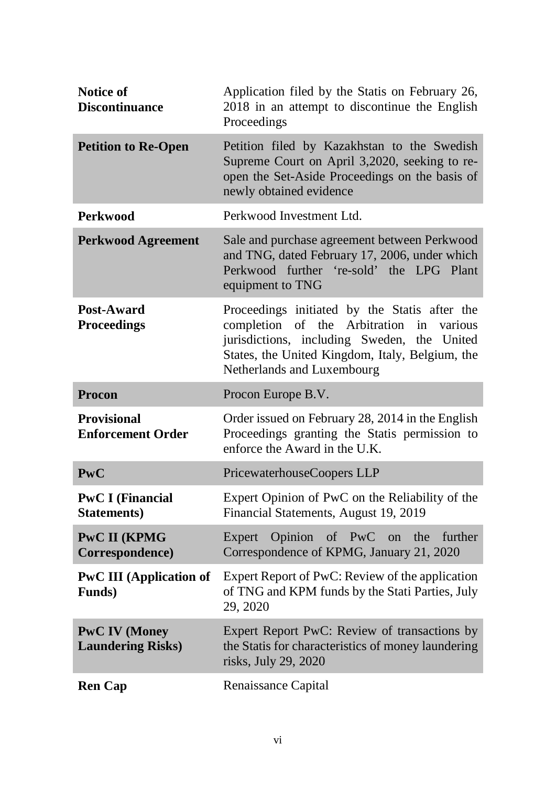| <b>Notice of</b><br><b>Discontinuance</b>         | Application filed by the Statis on February 26,<br>2018 in an attempt to discontinue the English<br>Proceedings                                                                                                                 |
|---------------------------------------------------|---------------------------------------------------------------------------------------------------------------------------------------------------------------------------------------------------------------------------------|
| <b>Petition to Re-Open</b>                        | Petition filed by Kazakhstan to the Swedish<br>Supreme Court on April 3,2020, seeking to re-<br>open the Set-Aside Proceedings on the basis of<br>newly obtained evidence                                                       |
| <b>Perkwood</b>                                   | Perkwood Investment Ltd.                                                                                                                                                                                                        |
| <b>Perkwood Agreement</b>                         | Sale and purchase agreement between Perkwood<br>and TNG, dated February 17, 2006, under which<br>Perkwood further 're-sold' the LPG Plant<br>equipment to TNG                                                                   |
| Post-Award<br><b>Proceedings</b>                  | Proceedings initiated by the Statis after the<br>completion of the Arbitration<br>in<br>various<br>jurisdictions, including Sweden, the United<br>States, the United Kingdom, Italy, Belgium, the<br>Netherlands and Luxembourg |
| <b>Procon</b>                                     | Procon Europe B.V.                                                                                                                                                                                                              |
| <b>Provisional</b><br><b>Enforcement Order</b>    | Order issued on February 28, 2014 in the English                                                                                                                                                                                |
|                                                   | Proceedings granting the Statis permission to<br>enforce the Award in the U.K.                                                                                                                                                  |
| <b>PwC</b>                                        | PricewaterhouseCoopers LLP                                                                                                                                                                                                      |
| <b>PwC I (Financial</b><br><b>Statements</b> )    | Expert Opinion of PwC on the Reliability of the<br>Financial Statements, August 19, 2019                                                                                                                                        |
| <b>PwC II (KPMG</b><br>Correspondence)            | Expert Opinion of PwC on the further<br>Correspondence of KPMG, January 21, 2020                                                                                                                                                |
| <b>PwC III</b> (Application of<br><b>Funds</b> )  | Expert Report of PwC: Review of the application<br>of TNG and KPM funds by the Stati Parties, July<br>29, 2020                                                                                                                  |
| <b>PwC IV (Money)</b><br><b>Laundering Risks)</b> | Expert Report PwC: Review of transactions by<br>the Statis for characteristics of money laundering<br>risks, July 29, 2020                                                                                                      |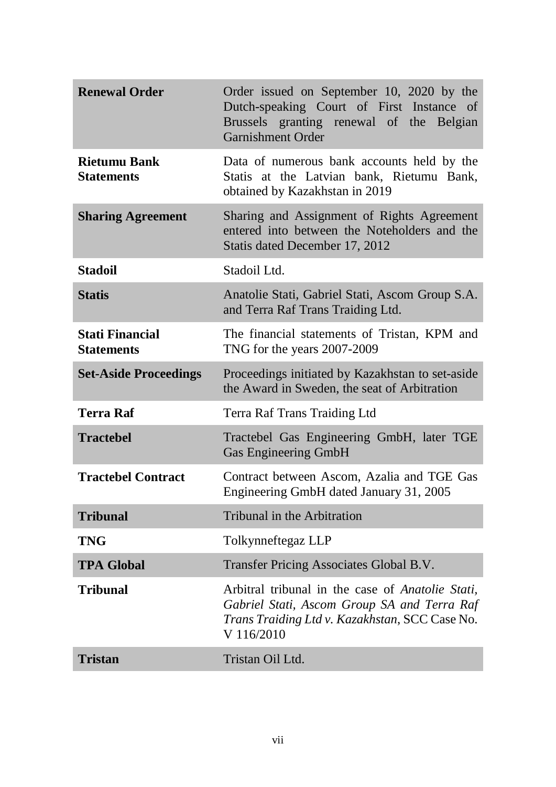| <b>Renewal Order</b>                        | Order issued on September 10, 2020 by the<br>Dutch-speaking Court of First Instance of<br>Brussels granting renewal of the Belgian<br><b>Garnishment Order</b>                 |
|---------------------------------------------|--------------------------------------------------------------------------------------------------------------------------------------------------------------------------------|
| <b>Rietumu Bank</b><br><b>Statements</b>    | Data of numerous bank accounts held by the<br>Statis at the Latvian bank, Rietumu Bank,<br>obtained by Kazakhstan in 2019                                                      |
| <b>Sharing Agreement</b>                    | Sharing and Assignment of Rights Agreement<br>entered into between the Noteholders and the<br>Statis dated December 17, 2012                                                   |
| <b>Stadoil</b>                              | Stadoil Ltd.                                                                                                                                                                   |
| <b>Statis</b>                               | Anatolie Stati, Gabriel Stati, Ascom Group S.A.<br>and Terra Raf Trans Traiding Ltd.                                                                                           |
| <b>Stati Financial</b><br><b>Statements</b> | The financial statements of Tristan, KPM and<br>TNG for the years 2007-2009                                                                                                    |
| <b>Set-Aside Proceedings</b>                | Proceedings initiated by Kazakhstan to set-aside<br>the Award in Sweden, the seat of Arbitration                                                                               |
| <b>Terra Raf</b>                            | Terra Raf Trans Traiding Ltd                                                                                                                                                   |
| <b>Tractebel</b>                            | Tractebel Gas Engineering GmbH, later TGE<br><b>Gas Engineering GmbH</b>                                                                                                       |
| <b>Tractebel Contract</b>                   | Contract between Ascom, Azalia and TGE Gas<br>Engineering GmbH dated January 31, 2005                                                                                          |
| <b>Tribunal</b>                             | Tribunal in the Arbitration                                                                                                                                                    |
| <b>TNG</b>                                  | Tolkynneftegaz LLP                                                                                                                                                             |
| <b>TPA Global</b>                           | Transfer Pricing Associates Global B.V.                                                                                                                                        |
| <b>Tribunal</b>                             | Arbitral tribunal in the case of <i>Anatolie Stati</i> ,<br>Gabriel Stati, Ascom Group SA and Terra Raf<br><i>Trans Traiding Ltd v. Kazakhstan, SCC Case No.</i><br>V 116/2010 |
| <b>Tristan</b>                              | Tristan Oil Ltd.                                                                                                                                                               |